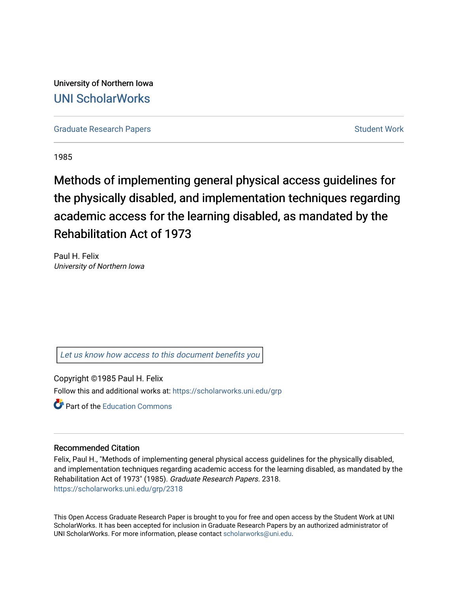University of Northern Iowa [UNI ScholarWorks](https://scholarworks.uni.edu/) 

[Graduate Research Papers](https://scholarworks.uni.edu/grp) [Student Work](https://scholarworks.uni.edu/sw_gc) Student Work

1985

Methods of implementing general physical access guidelines for the physically disabled, and implementation techniques regarding academic access for the learning disabled, as mandated by the Rehabilitation Act of 1973

Paul H. Felix University of Northern Iowa

[Let us know how access to this document benefits you](https://scholarworks.uni.edu/feedback_form.html) 

Copyright ©1985 Paul H. Felix Follow this and additional works at: [https://scholarworks.uni.edu/grp](https://scholarworks.uni.edu/grp?utm_source=scholarworks.uni.edu%2Fgrp%2F2318&utm_medium=PDF&utm_campaign=PDFCoverPages) 

**P** Part of the [Education Commons](http://network.bepress.com/hgg/discipline/784?utm_source=scholarworks.uni.edu%2Fgrp%2F2318&utm_medium=PDF&utm_campaign=PDFCoverPages)

# Recommended Citation

Felix, Paul H., "Methods of implementing general physical access guidelines for the physically disabled, and implementation techniques regarding academic access for the learning disabled, as mandated by the Rehabilitation Act of 1973" (1985). Graduate Research Papers. 2318. [https://scholarworks.uni.edu/grp/2318](https://scholarworks.uni.edu/grp/2318?utm_source=scholarworks.uni.edu%2Fgrp%2F2318&utm_medium=PDF&utm_campaign=PDFCoverPages) 

This Open Access Graduate Research Paper is brought to you for free and open access by the Student Work at UNI ScholarWorks. It has been accepted for inclusion in Graduate Research Papers by an authorized administrator of UNI ScholarWorks. For more information, please contact [scholarworks@uni.edu.](mailto:scholarworks@uni.edu)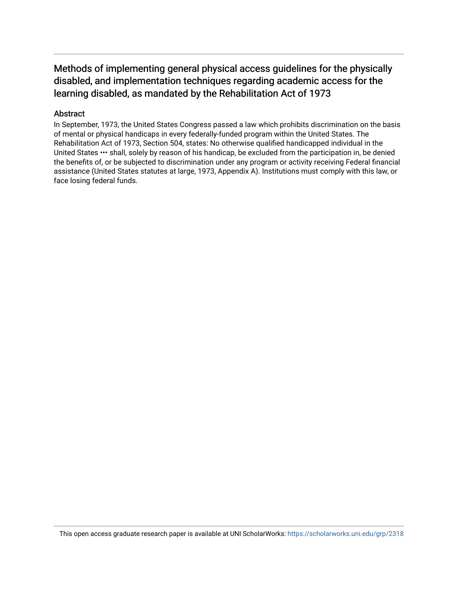# Methods of implementing general physical access guidelines for the physically disabled, and implementation techniques regarding academic access for the learning disabled, as mandated by the Rehabilitation Act of 1973

# Abstract

In September, 1973, the United States Congress passed a law which prohibits discrimination on the basis of mental or physical handicaps in every federally-funded program within the United States. The Rehabilitation Act of 1973, Section 504, states: No otherwise qualified handicapped individual in the United States ••• shall, solely by reason of his handicap, be excluded from the participation in, be denied the benefits of, or be subjected to discrimination under any program or activity receiving Federal financial assistance (United States statutes at large, 1973, Appendix A). Institutions must comply with this law, or face losing federal funds.

This open access graduate research paper is available at UNI ScholarWorks: <https://scholarworks.uni.edu/grp/2318>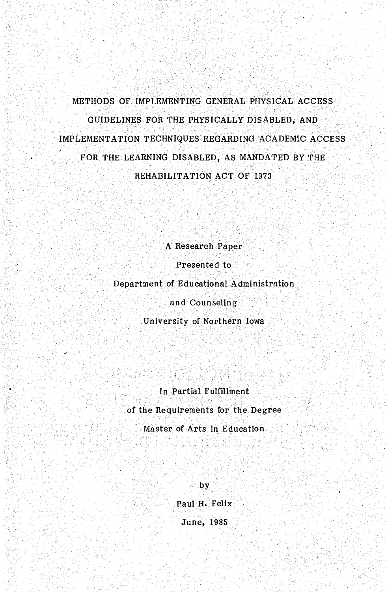.1 TA , P. . IN A REAL ARTHUR IN THE INDEXTRANCE IN THE INTERNATIONAL PROPERTY. . METHODS OF IMPLEMENTING GENERAL PHYSICAL ACCESS GUIDELINES FOR THE PHYSICALLY DISABLED, AND IMPLEMENTATION TECHNIQUES REGARDING ACADEMIC ACCESS FOR THE LEARNING DISABLED, AS MANDATED BY THE REHABILITATION ACT OP 1973

. A Research Paper

Presented to

Department of Educational Administration

and Counseling

. University of Northern Iowa

In Partial Fulfillment of the Requirements for. the Degree

71443

호전증하다

Master of Arts in Education

by

Paul H. Felix June, 1985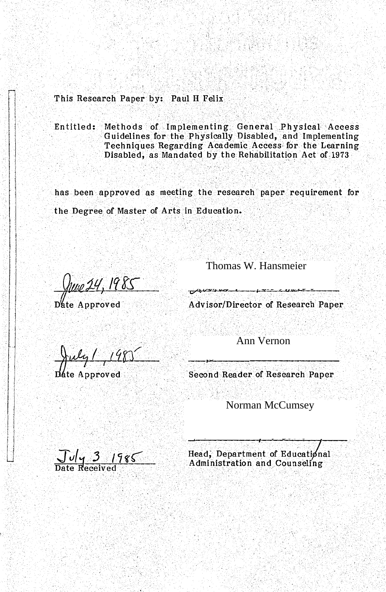This Research Paper by: Paul H Felix

Entitled: Methods of Implementing General Physical Access Guidelines for the Physically Disabled, and Implementing Techniques Regarding Academic Access- for the Learning Disabled, as Mandated by the Rehabilitation Act of 1973

has been approved as meeting the research paper requirement for **the Degree. of Master of Arts in Education .** 

. . . . . . .

Thomas W. Hansmeier

y 9 - 15 - 47 9 13 14 15 17 17 18 • 1994 - 1994 - 1995 1906 1916 1927 1928 1939 1940 1950 1961 1972 1984 1985 1986 1987 1988 1989 1989 1989 1989

. *P::AeiL/, !H'S-.* 

Date Approved Advisor/Director of Research Paper

Date Approved

Ann Vernon

Second Reader of Research Paper

Norman McCumsey

 $J\omega$ 4 3 1986

Head, Department of Educational Administration and Counseling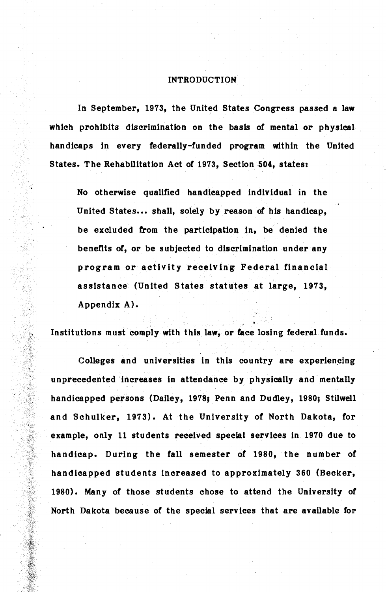#### INTRODUCTION

In September, 1973, the United States Congress passed **a law**  which prohibits discrimination on the basis of mental or physical handicaps in every federally-funded program within the United States. The Rehabilitation Act of 1973, Section **504,** states:

No otherwise qualified handicapped individual in the United States... shall, solely by reason of his handicap, be excluded from the participation in, be denied the benefits of, or be subjected to discrimination under any program or activity receiving Federal financial assistance (United States statutes at large, 1973, Appendix A).

Institutions must comply with this **law,** or face losing federal funds.

Colleges and universities in this country are experiencing unprecedented increases in attendance by physically and mentally handicapped persons (Dailey, 1978: Penn and Dudley, 1980; Stilwell and Schulker, 1973). At the University of North Dakota, for example, only 11 students received special services in 1970 due to handicap. During the fall semester of 1980, the number of handicapped students increased to approximately 360 (Becker, 1980). Many of those students chose to attend the University of North Dakota because of the special services that are available for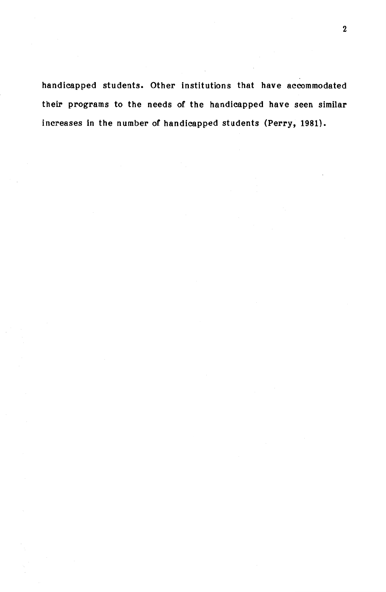handicapped students. Other institutions that have accommodated their programs to the needs of the handicapped have seen similar increases in the number of handicapped students (Perry, 1981).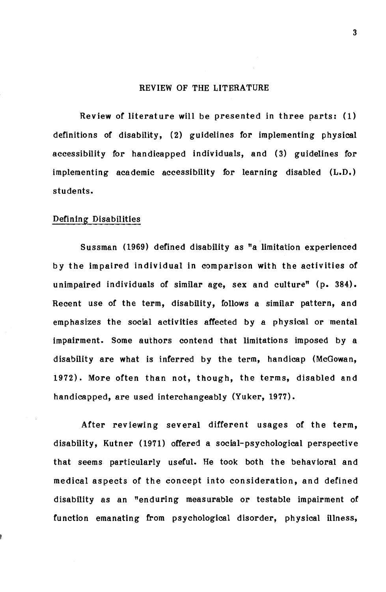#### REVIEW OF THE LITERATURE

Review of literature will be presented in three parts: (1) definitions of disability, (2) guidelines for implementing physical accessibility for handicapped individuals, and (3) guidelines for implementing academic accessibility for learning disabled (L.D.) students.

### Defining Disabilities

Sussman (1969) defined disability as "a limitation experienced by the impaired individual in comparison with the activities of unimpaired individuals of similar age, sex and culture" (p. 384). Recent use of the term, disability, follows a similar pattern, and emphasizes the social activities affected by a physical or mental impairment. Some authors contend that limitations imposed by a disability are what is inferred by the term, handicap (McGowan, 1972). More often than not, though, the terms, disabled and handicapped, are used interchangeably (Yuker, 1977).

After reviewing several different usages of the term, disability, Kutner (1971) offered a social-psychological perspective that seems particularly useful. He took both the behavioral and medical aspects of the concept into consideration, and defined disability as an "enduring measurable or testable impairment of function emanating from psychological disorder, physical illness,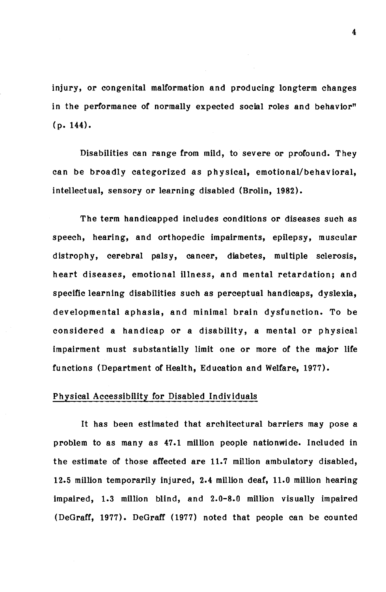injury, or congenital malformation and producing longterm changes in the performance of normally expected social roles and behavior" (p. 144).

Disabilities can range from mild, to severe or profound. They can be broadly categorized as physical, emotional/behavioral, intellectual, sensory or learning disabled (Brolin, 1982).

The term handicapped includes conditions or diseases such as speech, hearing, and orthopedic impairments, epilepsy, muscular distrophy, cerebral palsy, cancer, diabetes, multiple sclerosis, heart diseases, emotional illness, and mental retardation; and specific learning disabilities such as perceptual handicaps, dyslexia, developmental aphasia, and minimal brain dysfunction. To be considered a handicap or a disability, a mental or physical impairment must substantially limit one or more of the major life functions (Department of Health, Education and Welfare, 1977).

## Physical Accessibility for Disabled Individuals

It has been estimated that architectural barriers may pose a problem to as many as 47.1 million people nationwide. Included in the estimate of those affected are 11.7 million ambulatory disabled, 12.5 million temporarily injured, 2.4 million deaf, 11.0 million hearing impaired, 1.3 million blind, and 2.0-s.o million visually impaired (DeGraff, 1977). DeGraff (1977) noted that people can be counted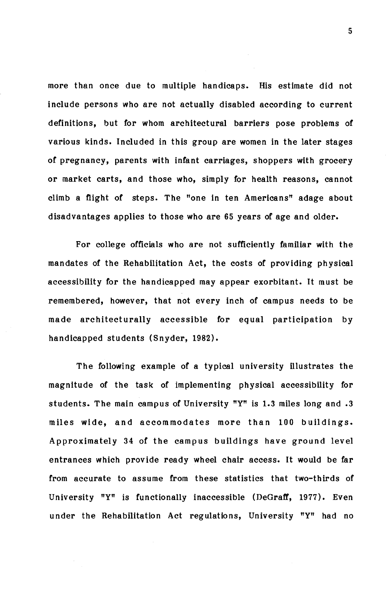more than once due to multiple handicaps. His estimate did not include persons who are not actually disabled according to current definitions, but for whom architectural barriers pose problems of various kinds. Included in this group are women in the later stages of pregnancy, parents with infant carriages, shoppers with grocery or market carts, and those who, simply for health reasons, cannot climb a flight of steps. The "one in ten Americans" adage about disadvantages applies to those who are 65 years of age and older.

For college officials who are not sufficiently familiar with the mandates of the Rehabilitation Act, the costs of providing physical accessibility for the handicapped may appear exorbitant. It must be remembered, however, that not every inch of campus needs to be made architecturally accessible for equal participation by handicapped students (Snyder, 1982).

The following example of a typical university illustrates the magnitude of the task of implementing physical accessibility for students. The main campus of University "Y" is 1.3 miles long and .3 miles wide, and accommodates more than 100 buildings. Approximately 34 of the campus buildings have ground level entrances which provide ready wheel chair access. It would be far from accurate to assume from these statistics that two-thirds of University "Y" is functionally inaccessible (DeGraff, 1977). Even under the Rehabilitation Act regulations, University "Y" had no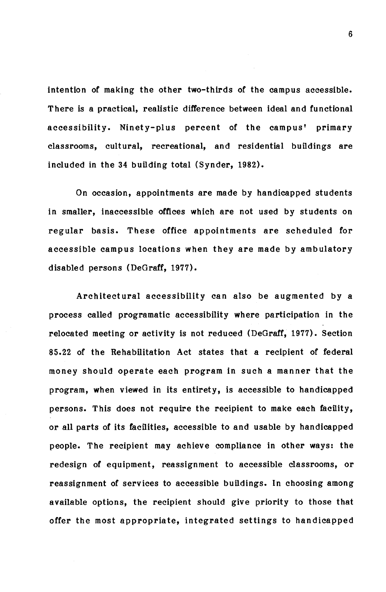intention of making the other two-thirds of the campus accessible. There is a practical, realistic difference between ideal and functional accessibility. Ninety-plus percent of the campus' primary classrooms, cultural, recreational, and residential buildings are included in the 34 building total (Synder, 1982).

On occasion, appointments are made by handicapped students in smaller, inaccessible offices which are not used by students on regular basis. These office appointments are scheduled for accessible campus locations when they are made by ambulatory disabled persons (DeGraff, 1977).

Architectural accessibility can also be augmented by a process called programatic accessibility where participation in the relocated meeting or activity is not reduced (DeGraff, 1977). Section 85.22 of the Rehabilitation Act states that a recipient of federal money should operate each program in such a manner that the program, when viewed in its entirety, is accessible to handicapped persons. This does not require the recipient to make each facility, or all parts of its facilities, accessible to and usable by handicapped people. The recipient may achieve compliance in other ways: the redesign of equipment, reassignment to accessible classrooms, or reassignment of services to accessible buildings. In choosing among available options, the recipient should give priority to those that offer the most appropriate, integrated settings to handicapped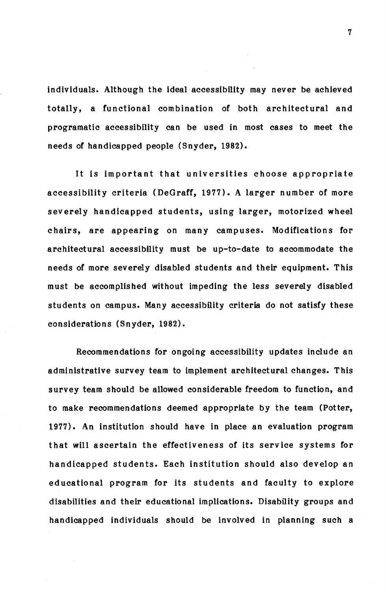individuals. Although the ideal accessibility may never be achieved totally, a functional combination of both architectural and programatic accessibility can be used in most cases to meet the needs of handicapped people (Snyder, 1982).

It is important that universities choose appropriate accessibility criteria (DeGraff, 1977). A larger number of more severely handicapped students, using larger, motorized wheel chairs, are appearing on many campuses. Modifications for architectural accessibility must be up-to-date to accommodate the needs of more severely disabled students and their equipment. This must be accomplished without impeding the less severely disabled students on campus. Many accessibility criteria do not satisfy these considerations (Snyder, 1982).

Recommendations for ongoing accessibility updates include an administrative survey team to implement architectural changes. This survey team should be allowed considerable freedom to function, and to make recommendations deemed appropriate by the team (Potter, 1977). An institution should have in place an evaluation program that will ascertain the effectiveness of its service systems for handicapped students. Each institution should also develop an educational program for its students and faculty to explore disabilities and their educational implications. Disability groups and handicapped individuals should be involved in planning such a

7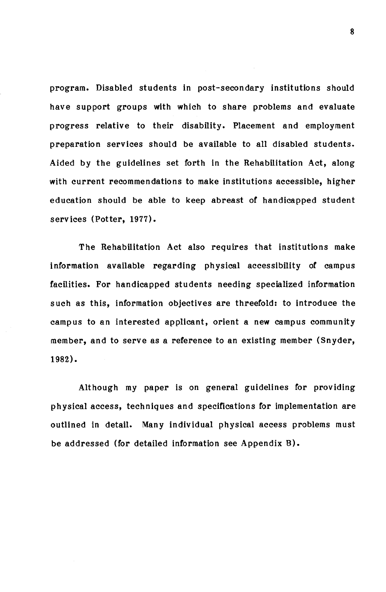program. Disabled students in post-secondary institutions should have support groups with which to share problems and evaluate progress relative to their disability. Placement and employment preparation services should be available to all disabled students. Aided by the guidelines set forth in the Rehabilitation Act, along with current recommendations to make institutions accessible, higher education should be able to keep abreast of handicapped student services (Potter, 1977).

The Rehabilitation Act also requires that institutions make information available regarding physical accessibility of campus facilities. For handicapped students needing specialized information such as this, information objectives are threefold: to introduce the campus to an interested applicant, orient a new campus community member, and to serve as a reference to an existing member (Snyder, 1982).

Although my paper is on general guidelines for providing physical access, techniques and specifications for implementation are outlined in detail. Many individual physical access problems must be addressed (for detailed information see Appendix B).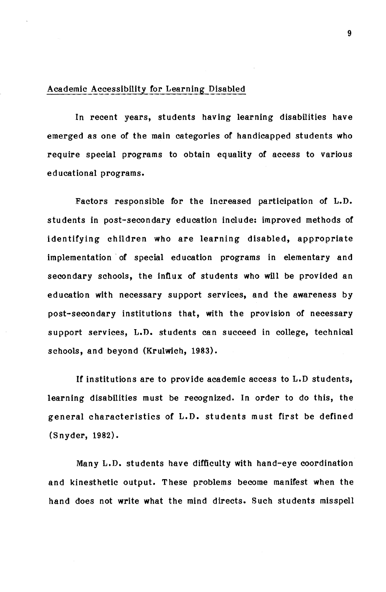# Academic Accessibility for Learning Disabled

In recent years, students having learning disabilities have emerged as one of the main categories of handicapped students who require special programs to obtain equality of access to various educational programs.

Factors responsible for the increased participation of L.D. students in post-secondary education include: improved methods of identifying children who are learning disabled, appropriate implementation of special education programs in elementary and secondary schools, the influx of students who will be provided an education with necessary support services, and the awareness by post-secondary institutions that, with the provision of necessary support services, L.D. students can succeed in college, technical schools, and beyond (Krulwich, 1983).

If institutions are to provide academic access to L.D students, learning disabilities must be recognized. In order to do this, the general characteristics of L.D. students must first be defined (Snyder, 1982).

Many L.D. students have difficulty with hand-eye coordination and kinesthetic output. These problems become manifest when the hand does not write what the mind directs. Such students misspell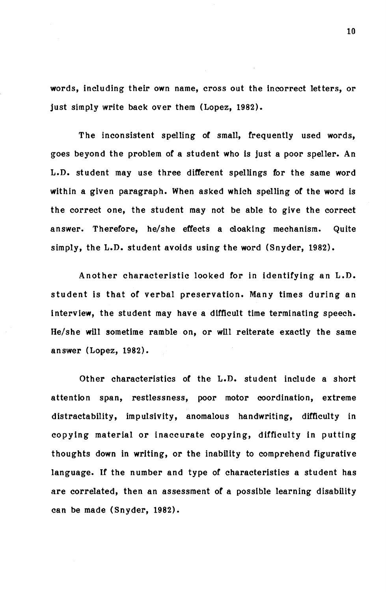words, including their own name, cross out the incorrect letters, or just simply write back over them (Lopez, 1982).

The inconsistent spelling of small, frequently used words, goes beyond the problem of a student who is just a poor speller. An L.D. student may use three different spellings for the same word within a given paragraph. When asked which spelling of the word is the correct one, the student may not be able to give the correct answer. Therefore, he/she effects a cloaking mechanism. Quite simply, the L.D. student avoids using the word (Snyder, 1982).

Another characteristic looked for in identifying an L.D. student is that of verbal preservation. Many times during an interview, the student may have a difficult time terminating speech. He/she will sometime ramble on, or will reiterate exactly the same answer (Lopez, 1982).

Other characteristics of the L.D. student include a short attention span, restlessness, poor motor coordination, extreme distractability, impulsivity, anomalous handwriting, difficulty in copying material or inaccurate copying, difficulty in putting thoughts down in writing, or the inability to comprehend figurative language. If the number and type of characteristics a student has are correlated, then an assessment of a possible learning disability can be made ( Snyder, 1982).

10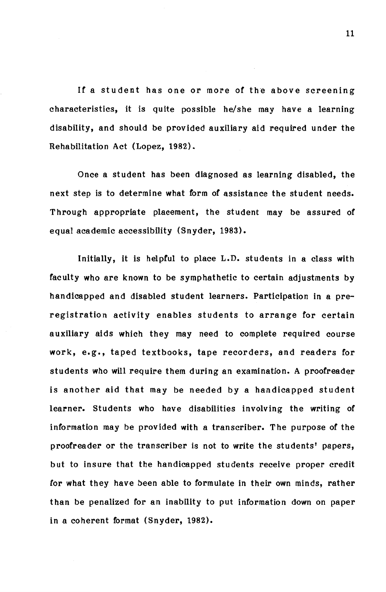If a student has one or more of the above screening characteristics, it is quite possible he/she may have a learning disability, and should be provided auxiliary aid required under the Rehabilitation Act (Lopez, 1982}.

Once a student has been diagnosed as learning disabled, the next step is to determine what form of assistance the student needs. Through appropriate placement, the student may be assured of equal academic accessibility (Snyder, 1983).

Initially, it is helpful to place L.D. students in a class with faculty who are known to be symphathetic to certain adjustments by handicapped and disabled student learners. Participation in a preregistration activity enables students to arrange for certain auxiliary aids which they may need to complete required course work, e.g., taped textbooks, tape recorders, and readers for students who will require them during an examination. A proofreader is another aid that may be needed by a handicapped student learner. Students who have disabilities involving the writing of information may be provided with a transcriber. The purpose of the proofreader or the transcriber is not to write the students' papers, but to insure that the handicapped students receive proper credit for what they have been able to formulate in their own minds, rather than be penalized for an inability to put information down on paper in a coherent format (Snyder, 1982}.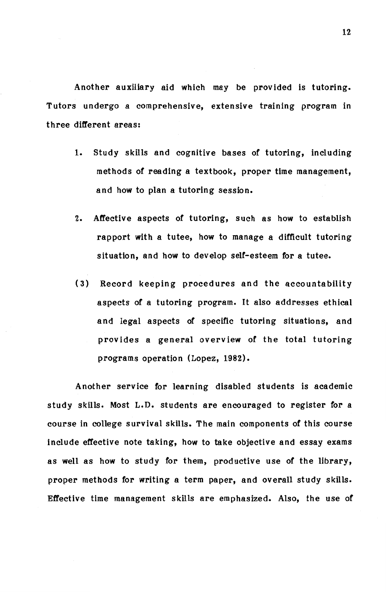Another auxiliary aid which may be provided is tutoring. Tutors undergo a comprehensive, extensive training program in three different areas:

- 1. Study skills and cognitive bases of tutoring, including methods of reading a textbook, proper time management, and how to plan a tutoring session.
- 2. Affective aspects of tutoring, such as how to establish rapport with a tutee, how to manage a difficult tutoring situation, and how to develop self-esteem for a tutee.
- ( 3) Record keeping procedures and the accountability aspects of a tutoring program. It also addresses ethical and legal aspects of specific tutoring situations, and provides a general overview of the total tutoring programs operation (Lopez, 1982).

Another service for learning disabled students is academic study skills. Most L.O. students are encouraged to register for a course in college survival skills. The main components of this course include effective note taking, how to take objective and essay exams as well as how to study for them, productive use of the library, proper methods for writing a term paper, and overall study skills. Effective time management skills are emphasized. Also, the use of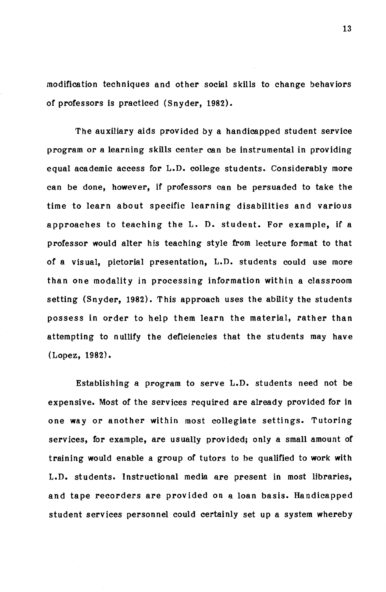modification techniques and other social skills to change behaviors of professors is practiced (Snyder, 1982).

The auxiliary aids provided by a handicapped student service program or a learning skills center can be instrumental in providing equal academic access for L.D. college students. Considerably more can be done, however, if professors can be persuaded to take the time to learn about specific learning disabilities and various approaches to teaching the L. D. student. For example, if a professor would alter his teaching style from lecture format to that of a visual, pictorial presentation, L.D. students could use more than one modality in processing information within a classroom setting (Snyder, 1982). This approach uses the ability the students possess in order to help them learn the material, rather than attempting to nullify the deficiencies that the students may have (Lopez, 1982).

Establishing a program to serve L.D. students need not be expensive. Most of the services required are already provided for in one way or another within most collegiate settings. Tutoring services, for example, are usually provided; only a small amount of training would enable a group of tutors to be qualified to work with L.D. students. Instructional media are present in most libraries, and tape recorders are provided on a loan basis. Handicapped student services personnel could certainly set up a system whereby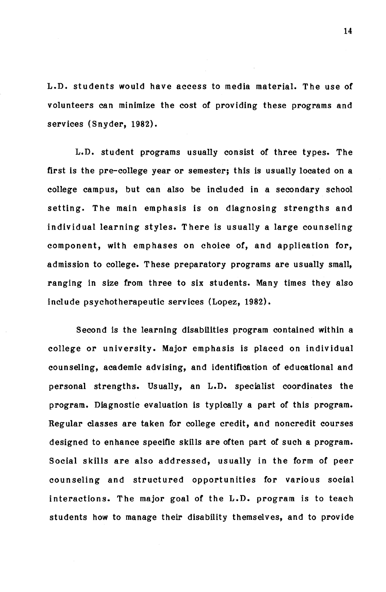L.D. students would have access to media material. The use of volunteers can minimize the cost of providing these programs and services (Snyder, 1982).

L.D. student programs usually consist of three types. The first is the pre-college year or semester; this is usually located on a college campus, but can also be included in a secondary school setting. The main emphasis is on diagnosing strengths and individual learning styles. There is usually a large counseling component, with emphases on choice of, and application for, admission to college. These preparatory programs are usually small, ranging in size from three to six students. Many times they also include psychotherapeutic services (Lopez, 1982).

Second is the learning disabilities program contained within a college or university. Major emphasis is placed on individual counseling, academic advising, and identification of educational and personal strengths. Usually, an L.D. specialist coordinates the program. Diagnostic evaluation is typically a part of this program. Regular classes are taken for college credit, and noncredit courses designed to enhance specific skills are often part of such a program. Social skills are also addressed, usually in the form of peer counseling and structured opportunities for various social interactions. The major goal of the L.D. program is to teach students how to manage their disability themselves, and to provide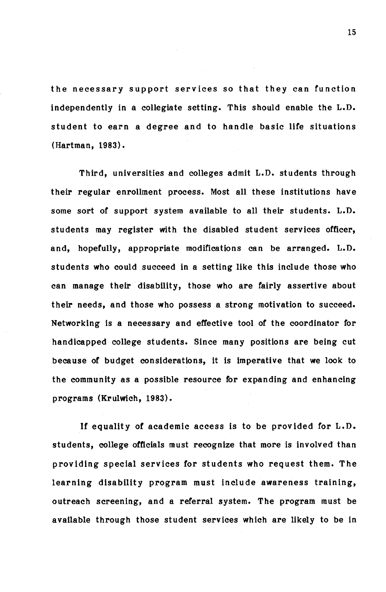the necessary support services so that they can function independently in a collegiate setting. This should enable the L.D. student to earn a degree and to handle basic life situations (Hartman, 1983).

Third, universities and colleges admit L.D. students through their regular enrollment process. Most all these institutions have some sort of support system available to all their students. L.D. students may register with the disabled student services officer, and, hopefully, appropriate modifications can be arranged. L.D. students who could succeed in a setting like this include those who can manage their disability, those who are fairly assertive about their needs, and those who possess a strong motivation to succeed. Networking is a necessary and effective tool of the coordinator for handicapped college students. Since many positions are being cut because of budget considerations, it is imperative that we look to the community as a possible resource for expanding and enhancing programs (Krulwich, 1983).

If equality of academic access is to be provided for L.D. students, college officials must recognize that more is involved than providing special services for students who request them. The learning disability program must include awareness training, outreach screening, and a referral system. The program must be available through those student services which are likely to be in

15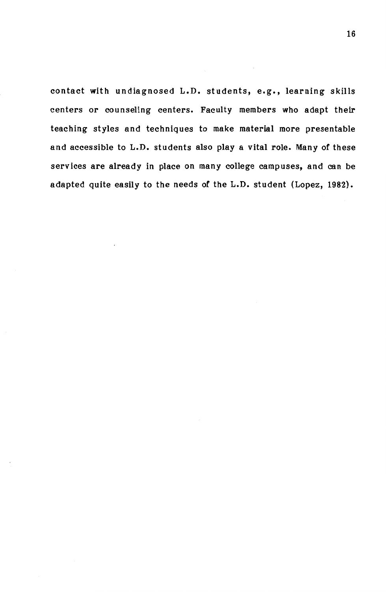contact with undiagnosed L.D. students, e.g., learning skills centers or counseling centers. Faculty members who adapt their teaching styles and techniques to make material more presentable and accessible to L.D. students also play a vital role. Many of these services are already in place on many college campuses, and can be adapted quite easily to the needs of the L.D. student (Lopez, 1982).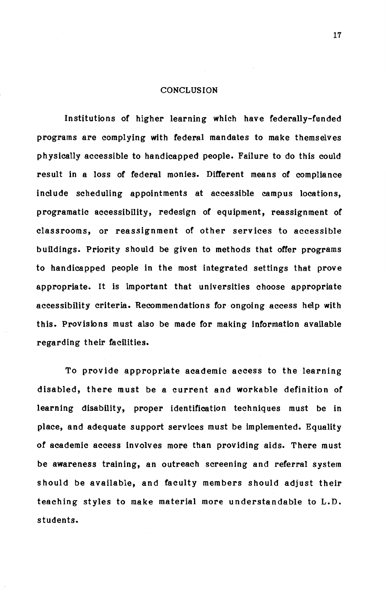#### **CONCLUSION**

Institutions of higher learning which have federally-funded programs are complying with federal mandates to make themselves physically accessible to handicapped people. Failure to do this could result in a loss of federal monies. Different means of compliance include scheduling appointments at accessible campus locations, programatic accessibility, redesign of equipment, reassignment of classrooms, or reassignment of other services to accessible buildings. Priority should be given to methods that offer programs to handicapped people in the most integrated settings that prove appropriate. It is important that universities choose appropriate accessibility criteria. Recommendations for ongoing access help with this. Provisions must also be made for making information available regarding their facilities.

To provide appropriate academic access to the learning disabled, there must be a current and workable definition of learning disability, proper identification techniques must be in place, and adequate support services must be implemented. Equality of academic access involves more than providing aids. There must be awareness training, an outreach screening and referral system should be available, and faculty members should adjust their teaching styles to make material more understandable to L.D. students.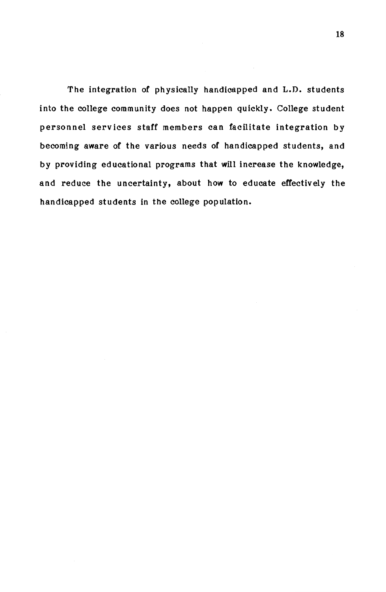The integration of physically handicapped and L.D. students into the college community does not happen quickly. College student personnel services staff members can facilitate integration by becoming aware of the various needs of handicapped students, and by providing educational programs that will increase the knowledge, and reduce the uncertainty, about how to educate effectively the handicapped students in the college population.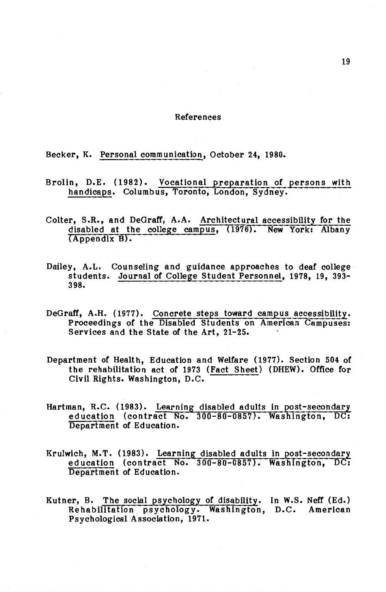#### References

Becker, K. Personal communication, October 24, 1980.

- Brolin, D.E. (1982). Vocational preparation of persons with handicaps. Columbus, Toronto, London, Sydney.
- Colter, S.R., and DeGraff, A.A. Architectural accessibility for the disabled at the college campus, (1976). New York: Albany (Appendix B).
- Dailey, A.L. Counseling and guidance approaches to deaf college students. Journal of College Student Personnel, 1978, 19, 393- 398.
- DeGraff, A.H. (1977). Concrete steps toward campus accessibility. Proceedings of the Disabled Students on American Campuses: Services and the State of the Art, 21-25.
- Department of Health, Education and Welfare (1977). Section 504 of the rehabilitation act of 1973 (Fact Sheet) (DHEW). Office for Civil Rights. Washington, D.C.
- Hartman, R.C. (1983). Learning disabled adults in post-secondary education (contract No. 300-80-0857). Washington, DC: Department of Education.
- Krulwich, M.T. (1983). Learning disabled adults in post-secondary education (contract No. 300-80-0857). Washington, DC: Department of Education.
- Kutner, B. The social psychology of disability. In W.S. Neff (Ed.) Rehabilitation psychology. Washington, D.C. American Psychological Association, 1971.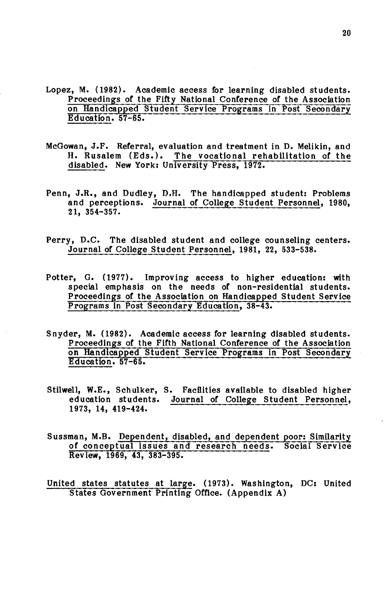- Lopez, M. (1982). Academic access for learning disabled students. Proceedings of the Fifty National Conference of the Association on Handicapped Student Service Programs in Post Secondary Education. 57-65.
- McGowan, J.F. Referral, evaluation and treatment in D. Melikin, and H. Rusalem (Eds.). The vocational rehabilitation of the disabled. New York: University Press, 1972.
- Penn, J.R., and Dudley, D.H. The handicapped student: Problems and perceptions. Journal of College Student Personnel, 1980, 21, 354-357.
- Perry, D.C. The disabled student and college counseling centers. Journal of College Student Personnel, 1981, 22, 533-538.
- Potter, G. (1977). Improving access to higher education: with special emphasis on the needs of non-residential students. Proceedings of the Association on Handicapped Student Service Programs in Post Secondary Education, 38-43.
- Snyder, M. (1982). Academic access for learning disabled students. Proceedings of the Fifth National Conference of the Association on Handicapped Student Service Programs in Post Secondary Education. 57-65.
- Stilwell, W.E., Schulker, S. Facilities available to disabled higher education students. Journal of College Student Personnel, 1973, 14, 419-424.
- Sussman, M.B. Dependent, disabled, and dependent poor: Similarity of conceptual issues and research needs. Social Service Review, 1969, 43, 383-395.
- United states statutes at large. (1973). Washington, DC: United States Government Printing Office. (Appendix A)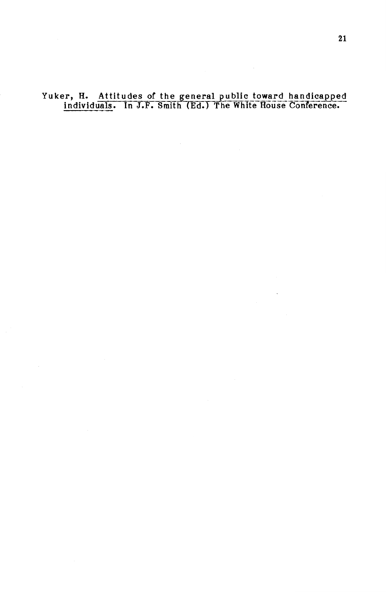# Yuker, H. Attitudes of the general public toward handicapped individuals. In J.F. Smith (Ed.) The White House Conference.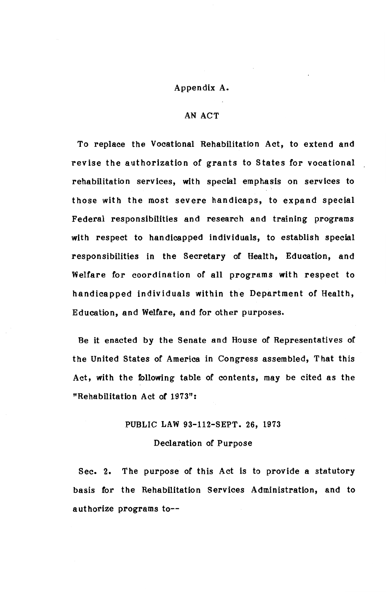#### Appendix A.

### AN ACT

To replace the Vocational Rehabilitation Act, to extend and revise the authorization of grants to States for vocational rehabilitation services, with special emphasis on services to those with the most severe handicaps, to expand special Federal responsibilities and research and training programs with respect to handicapped individuals, to establish special responsibilities in the Secretary of Health, Education, and Welfare for coordination of all programs with respect to handicapped individuals within the Department of Health, Education, and Welfare, and for other purposes.

Be it enacted by the Senate and House of Representatives of the United States of America in Congress assembled, That this Act, with the following table of contents, may be cited as the "Rehabilitation Act of 1973":

#### PUBLIC LAW 93-112-SEPT. 26, 1973

Declaration of Purpose

Sec. 2. The purpose of this Act is to provide a statutory basis for the Rehabilitation Services Administration, and to authorize programs to--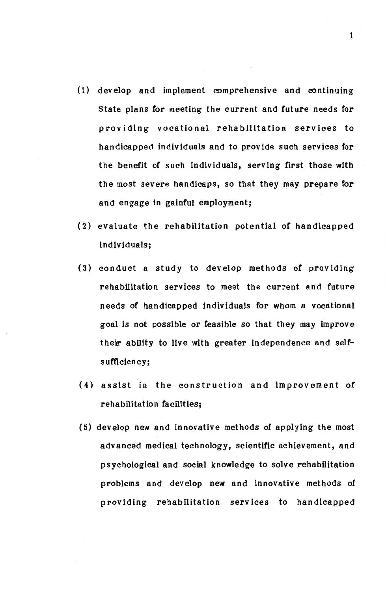- ( 1) develop and implement comprehensive and continuing State plans for meeting the current and future needs for providing vocational rehabilitation services to handicapped individuals and to provide such services for the benefit of such individuals, serving first those with the most severe handicaps, so that they may prepare for and engage in gainful employment;
- (2) evaluate the rehabilitation potential of handicapped individuals;
- (3) conduct a study to develop methods of providing rehabilitation services to meet the current and future needs of handicapped individuals for whom a vocational goal is not possible or feasible so that they may improve their ability to live with greater independence and selfs ufficiency;
- (4) assist in the construction and improvement of rehabilitation facilities;
- ( 5) develop new and innovative methods of applying the most advanced medical technology, scientific achievement, and psychological and social knowledge to solve rehabilitation problems and develop new and innovative methods of providing rehabilitation services to handicapped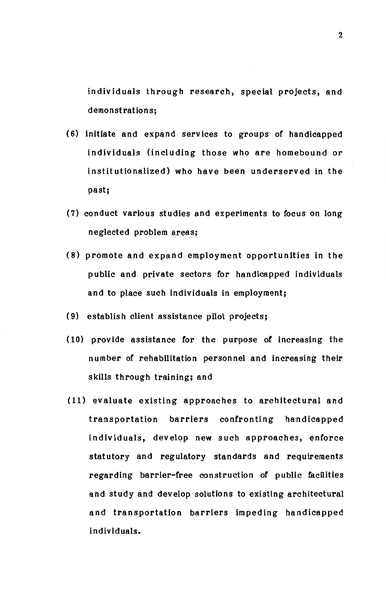individuals through research, special projects, and demonstrations;

- ( 6) initiate and expand services to groups of handicapped individuals (including those who are homebound or institutionalized) who have been underserved in the past;
- (7) conduct various studies and experiments to focus on long neglected problem areas;
- ( 8) promote and expand employment opportunities in the public and private sectors for handicapped individuals and to place such individuals in employment;
- ( 9) establish client assistance pilot projects;
- ( 10) provide assistance for the purpose of increasing the number of rehabilitation personnel and increasing their skills through training; and
- (11) evaluate existing approaches to architectural and transportation barriers confronting handicapped individuals, develop new such approaches, enforce statutory and regulatory standards and requirements regarding barrier-free construction of public facilities and study and develop solutions to existing architectural and transportation barriers impeding handicapped individuals.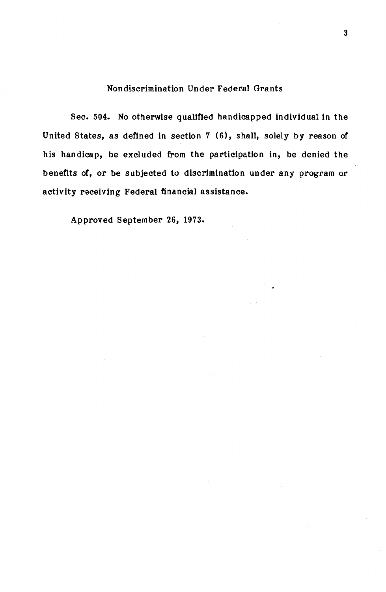# Nondiscrimination Under Federal Grants

Sec. 504. No otherwise qualified handicapped individual in the United States, as defined in section 7 (6), shall, solely by reason of his handicap, be excluded from the participation in, be denied the benefits of, or be subjected to discrimination under any program or activity receiving Federal financial assistance.

Approved September 26, 1973.